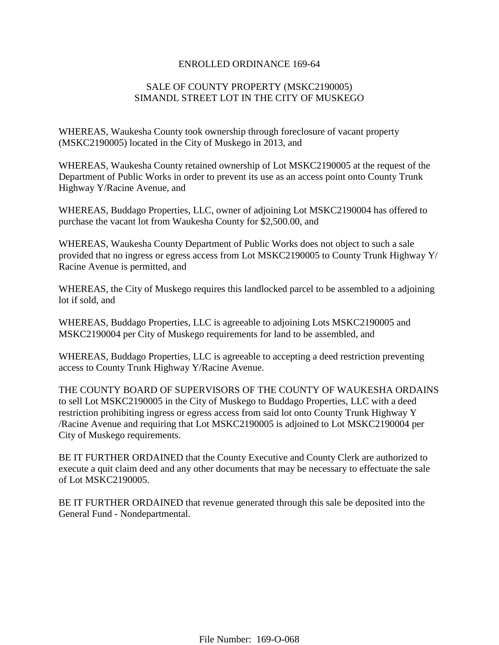## ENROLLED ORDINANCE 169-64

## SALE OF COUNTY PROPERTY (MSKC2190005) SIMANDL STREET LOT IN THE CITY OF MUSKEGO

WHEREAS, Waukesha County took ownership through foreclosure of vacant property (MSKC2190005) located in the City of Muskego in 2013, and

WHEREAS, Waukesha County retained ownership of Lot MSKC2190005 at the request of the Department of Public Works in order to prevent its use as an access point onto County Trunk Highway Y/Racine Avenue, and

WHEREAS, Buddago Properties, LLC, owner of adjoining Lot MSKC2190004 has offered to purchase the vacant lot from Waukesha County for \$2,500.00, and

WHEREAS, Waukesha County Department of Public Works does not object to such a sale provided that no ingress or egress access from Lot MSKC2190005 to County Trunk Highway Y/ Racine Avenue is permitted, and

WHEREAS, the City of Muskego requires this landlocked parcel to be assembled to a adjoining lot if sold, and

WHEREAS, Buddago Properties, LLC is agreeable to adjoining Lots MSKC2190005 and MSKC2190004 per City of Muskego requirements for land to be assembled, and

WHEREAS, Buddago Properties, LLC is agreeable to accepting a deed restriction preventing access to County Trunk Highway Y/Racine Avenue.

THE COUNTY BOARD OF SUPERVISORS OF THE COUNTY OF WAUKESHA ORDAINS to sell Lot MSKC2190005 in the City of Muskego to Buddago Properties, LLC with a deed restriction prohibiting ingress or egress access from said lot onto County Trunk Highway Y /Racine Avenue and requiring that Lot MSKC2190005 is adjoined to Lot MSKC2190004 per City of Muskego requirements.

BE IT FURTHER ORDAINED that the County Executive and County Clerk are authorized to execute a quit claim deed and any other documents that may be necessary to effectuate the sale of Lot MSKC2190005.

BE IT FURTHER ORDAINED that revenue generated through this sale be deposited into the General Fund - Nondepartmental.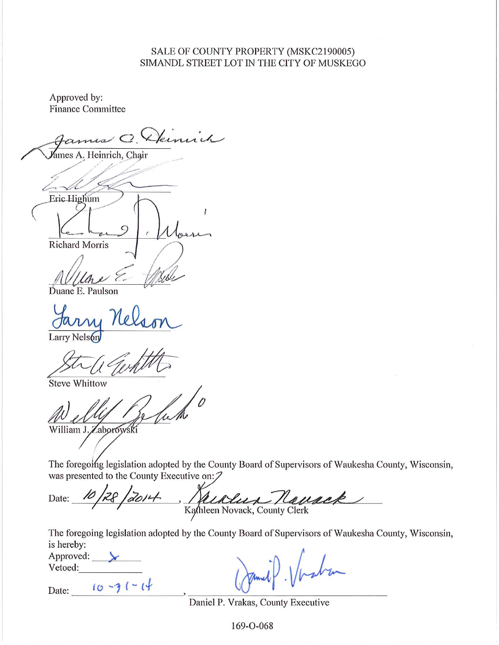## SALE OF COUNTY PROPERTY (MSKC2190005) SIMANDL STREET LOT IN THE CITY OF MUSKEGO

Approved by: **Finance Committee** 

amis C. Demich ames A. Heinrich, Chair Eric Highum  $\boldsymbol{l}$ **Richard Morris** 

Duane E. Paulson

Larry Nelson

Steve Whittow

William J. Zaborowski

The foregoing legislation adopted by the County Board of Supervisors of Waukesha County, Wisconsin, was presented to the County Executive on:

Kaldun Namack  $2812014$ Date:

The foregoing legislation adopted by the County Board of Supervisors of Waukesha County, Wisconsin, is hereby:

| Approved: |  |
|-----------|--|
| Vetoed:   |  |
|           |  |

Date:  $10 - 31 - 14$ 

Daniel P. Vrakas, County Executive

169-0-068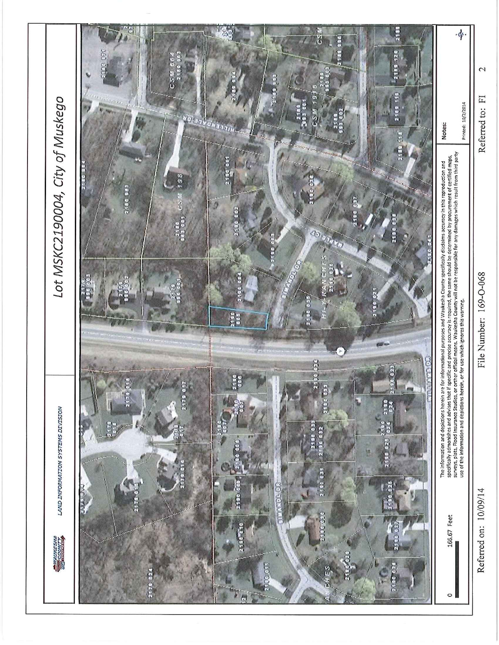